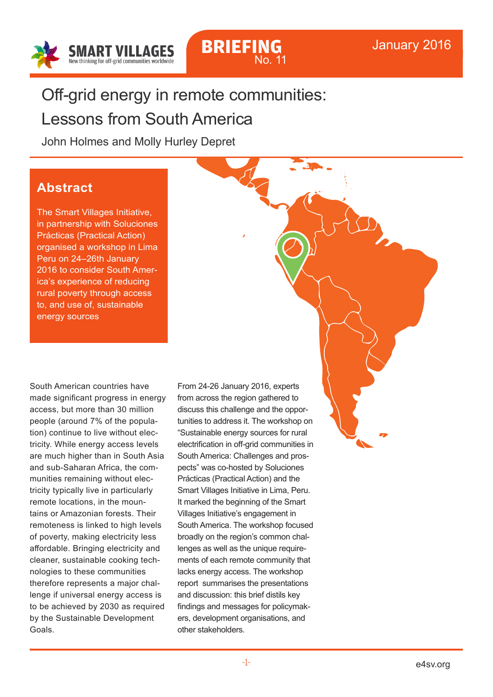



# Off-grid energy in remote communities:

Lessons from South America

John Holmes and Molly Hurley Depret

### **Abstract**

The Smart Villages Initiative, in partnership with Soluciones Prácticas (Practical Action) organised a workshop in Lima Peru on 24–26th January 2016 to consider South America's experience of reducing rural poverty through access to, and use of, sustainable energy sources

South American countries have made significant progress in energy access, but more than 30 million people (around 7% of the population) continue to live without electricity. While energy access levels are much higher than in South Asia and sub-Saharan Africa, the communities remaining without electricity typically live in particularly remote locations, in the mountains or Amazonian forests. Their remoteness is linked to high levels of poverty, making electricity less affordable. Bringing electricity and cleaner, sustainable cooking technologies to these communities therefore represents a major challenge if universal energy access is to be achieved by 2030 as required by the Sustainable Development Goals.

From 24-26 January 2016, experts from across the region gathered to discuss this challenge and the opportunities to address it. The workshop on "Sustainable energy sources for rural electrification in off-grid communities in South America: Challenges and prospects" was co-hosted by Soluciones Prácticas (Practical Action) and the Smart Villages Initiative in Lima, Peru. It marked the beginning of the Smart Villages Initiative's engagement in South America. The workshop focused broadly on the region's common challenges as well as the unique requirements of each remote community that lacks energy access. The workshop report summarises the presentations and discussion: this brief distils key findings and messages for policymakers, development organisations, and other stakeholders.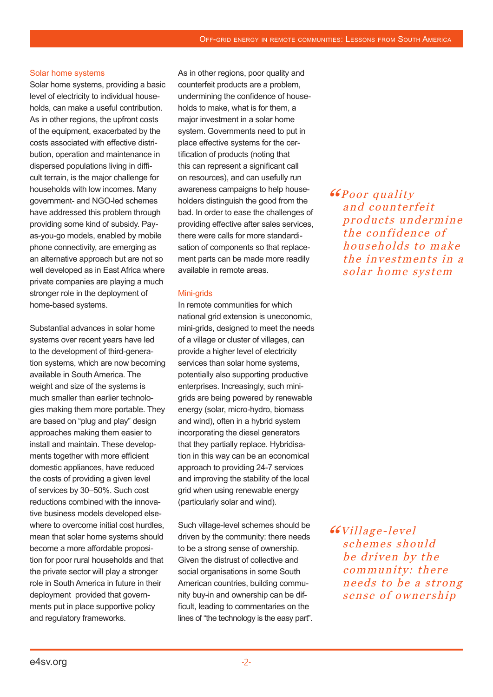### Solar home systems

Solar home systems, providing a basic level of electricity to individual households, can make a useful contribution. As in other regions, the upfront costs of the equipment, exacerbated by the costs associated with effective distribution, operation and maintenance in dispersed populations living in difficult terrain, is the major challenge for households with low incomes. Many government- and NGO-led schemes have addressed this problem through providing some kind of subsidy. Payas-you-go models, enabled by mobile phone connectivity, are emerging as an alternative approach but are not so well developed as in East Africa where private companies are playing a much stronger role in the deployment of home-based systems.

Substantial advances in solar home systems over recent years have led to the development of third-generation systems, which are now becoming available in South America. The weight and size of the systems is much smaller than earlier technologies making them more portable. They are based on "plug and play" design approaches making them easier to install and maintain. These developments together with more efficient domestic appliances, have reduced the costs of providing a given level of services by 30–50%. Such cost reductions combined with the innovative business models developed elsewhere to overcome initial cost hurdles. mean that solar home systems should become a more affordable proposition for poor rural households and that the private sector will play a stronger role in South America in future in their deployment provided that governments put in place supportive policy and regulatory frameworks.

As in other regions, poor quality and counterfeit products are a problem, undermining the confidence of households to make, what is for them, a major investment in a solar home system. Governments need to put in place effective systems for the certification of products (noting that this can represent a significant call on resources), and can usefully run awareness campaigns to help householders distinguish the good from the bad. In order to ease the challenges of providing effective after sales services, there were calls for more standardisation of components so that replacement parts can be made more readily available in remote areas.

### Mini-grids

In remote communities for which national grid extension is uneconomic, mini-grids, designed to meet the needs of a village or cluster of villages, can provide a higher level of electricity services than solar home systems, potentially also supporting productive enterprises. Increasingly, such minigrids are being powered by renewable energy (solar, micro-hydro, biomass and wind), often in a hybrid system incorporating the diesel generators that they partially replace. Hybridisation in this way can be an economical approach to providing 24-7 services and improving the stability of the local grid when using renewable energy (particularly solar and wind).

Such village-level schemes should be driven by the community: there needs to be a strong sense of ownership. Given the distrust of collective and social organisations in some South American countries, building community buy-in and ownership can be difficult, leading to commentaries on the lines of "the technology is the easy part". **"GPoor quality"** and counterfeit products undermine the confidence of households to make the investments in a solar home system

66Village-level schemes should be driven by the community: there needs to be a strong sense of ownership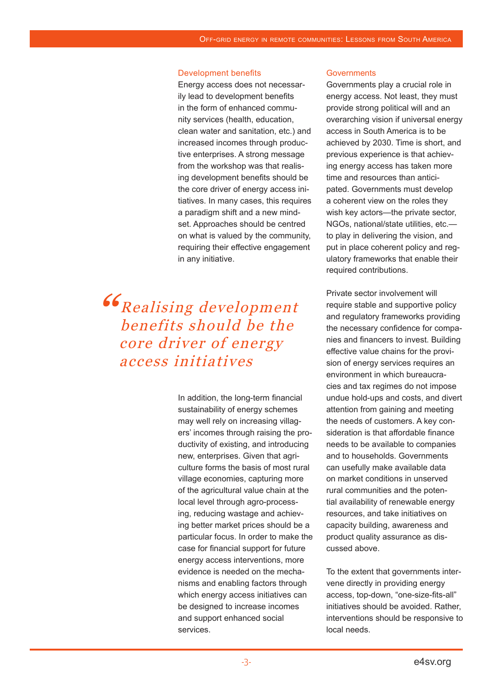### Development benefits

Energy access does not necessarily lead to development benefits in the form of enhanced community services (health, education, clean water and sanitation, etc.) and increased incomes through productive enterprises. A strong message from the workshop was that realising development benefits should be the core driver of energy access initiatives. In many cases, this requires a paradigm shift and a new mindset. Approaches should be centred on what is valued by the community, requiring their effective engagement in any initiative.

## **"G** Realising development benefits should be the core driver of energy access initiatives

In addition, the long-term financial sustainability of energy schemes may well rely on increasing villagers' incomes through raising the productivity of existing, and introducing new, enterprises. Given that agriculture forms the basis of most rural village economies, capturing more of the agricultural value chain at the local level through agro-processing, reducing wastage and achieving better market prices should be a particular focus. In order to make the case for financial support for future energy access interventions, more evidence is needed on the mechanisms and enabling factors through which energy access initiatives can be designed to increase incomes and support enhanced social services.

### **Governments**

Governments play a crucial role in energy access. Not least, they must provide strong political will and an overarching vision if universal energy access in South America is to be achieved by 2030. Time is short, and previous experience is that achieving energy access has taken more time and resources than anticipated. Governments must develop a coherent view on the roles they wish key actors—the private sector, NGOs, national/state utilities, etc. to play in delivering the vision, and put in place coherent policy and regulatory frameworks that enable their required contributions.

Private sector involvement will require stable and supportive policy and regulatory frameworks providing the necessary confidence for companies and financers to invest. Building effective value chains for the provision of energy services requires an environment in which bureaucracies and tax regimes do not impose undue hold-ups and costs, and divert attention from gaining and meeting the needs of customers. A key consideration is that affordable finance needs to be available to companies and to households. Governments can usefully make available data on market conditions in unserved rural communities and the potential availability of renewable energy resources, and take initiatives on capacity building, awareness and product quality assurance as discussed above.

To the extent that governments intervene directly in providing energy access, top-down, "one-size-fits-all" initiatives should be avoided. Rather, interventions should be responsive to local needs.